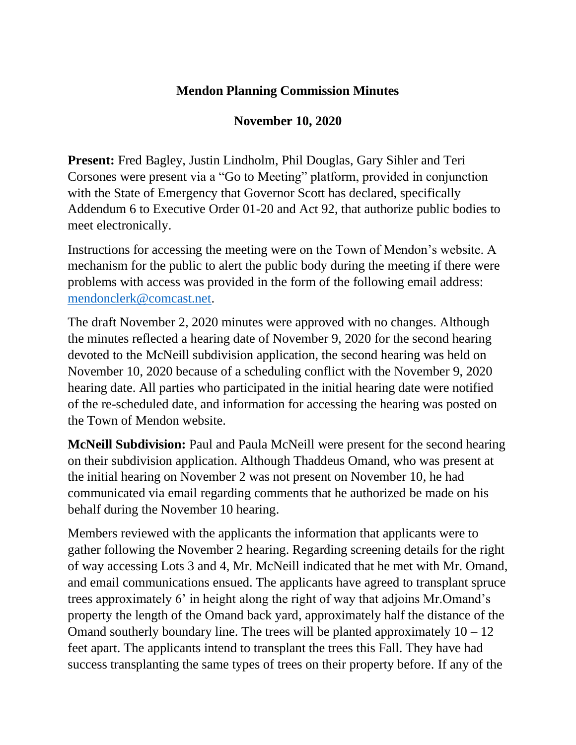## **Mendon Planning Commission Minutes**

## **November 10, 2020**

**Present:** Fred Bagley, Justin Lindholm, Phil Douglas, Gary Sihler and Teri Corsones were present via a "Go to Meeting" platform, provided in conjunction with the State of Emergency that Governor Scott has declared, specifically Addendum 6 to Executive Order 01-20 and Act 92, that authorize public bodies to meet electronically.

Instructions for accessing the meeting were on the Town of Mendon's website. A mechanism for the public to alert the public body during the meeting if there were problems with access was provided in the form of the following email address: [mendonclerk@comcast.net.](mailto:mendonclerk@comcast.net)

The draft November 2, 2020 minutes were approved with no changes. Although the minutes reflected a hearing date of November 9, 2020 for the second hearing devoted to the McNeill subdivision application, the second hearing was held on November 10, 2020 because of a scheduling conflict with the November 9, 2020 hearing date. All parties who participated in the initial hearing date were notified of the re-scheduled date, and information for accessing the hearing was posted on the Town of Mendon website.

**McNeill Subdivision:** Paul and Paula McNeill were present for the second hearing on their subdivision application. Although Thaddeus Omand, who was present at the initial hearing on November 2 was not present on November 10, he had communicated via email regarding comments that he authorized be made on his behalf during the November 10 hearing.

Members reviewed with the applicants the information that applicants were to gather following the November 2 hearing. Regarding screening details for the right of way accessing Lots 3 and 4, Mr. McNeill indicated that he met with Mr. Omand, and email communications ensued. The applicants have agreed to transplant spruce trees approximately 6' in height along the right of way that adjoins Mr.Omand's property the length of the Omand back yard, approximately half the distance of the Omand southerly boundary line. The trees will be planted approximately  $10 - 12$ feet apart. The applicants intend to transplant the trees this Fall. They have had success transplanting the same types of trees on their property before. If any of the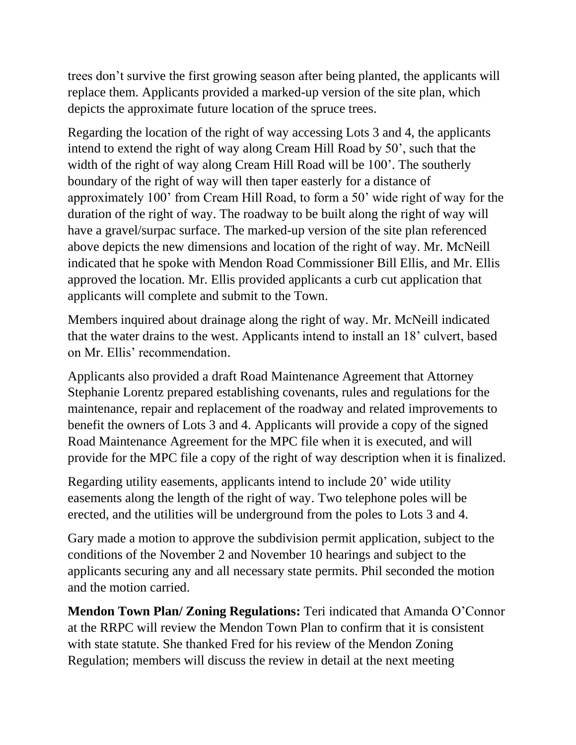trees don't survive the first growing season after being planted, the applicants will replace them. Applicants provided a marked-up version of the site plan, which depicts the approximate future location of the spruce trees.

Regarding the location of the right of way accessing Lots 3 and 4, the applicants intend to extend the right of way along Cream Hill Road by 50', such that the width of the right of way along Cream Hill Road will be 100'. The southerly boundary of the right of way will then taper easterly for a distance of approximately 100' from Cream Hill Road, to form a 50' wide right of way for the duration of the right of way. The roadway to be built along the right of way will have a gravel/surpac surface. The marked-up version of the site plan referenced above depicts the new dimensions and location of the right of way. Mr. McNeill indicated that he spoke with Mendon Road Commissioner Bill Ellis, and Mr. Ellis approved the location. Mr. Ellis provided applicants a curb cut application that applicants will complete and submit to the Town.

Members inquired about drainage along the right of way. Mr. McNeill indicated that the water drains to the west. Applicants intend to install an 18' culvert, based on Mr. Ellis' recommendation.

Applicants also provided a draft Road Maintenance Agreement that Attorney Stephanie Lorentz prepared establishing covenants, rules and regulations for the maintenance, repair and replacement of the roadway and related improvements to benefit the owners of Lots 3 and 4. Applicants will provide a copy of the signed Road Maintenance Agreement for the MPC file when it is executed, and will provide for the MPC file a copy of the right of way description when it is finalized.

Regarding utility easements, applicants intend to include 20' wide utility easements along the length of the right of way. Two telephone poles will be erected, and the utilities will be underground from the poles to Lots 3 and 4.

Gary made a motion to approve the subdivision permit application, subject to the conditions of the November 2 and November 10 hearings and subject to the applicants securing any and all necessary state permits. Phil seconded the motion and the motion carried.

**Mendon Town Plan/ Zoning Regulations:** Teri indicated that Amanda O'Connor at the RRPC will review the Mendon Town Plan to confirm that it is consistent with state statute. She thanked Fred for his review of the Mendon Zoning Regulation; members will discuss the review in detail at the next meeting